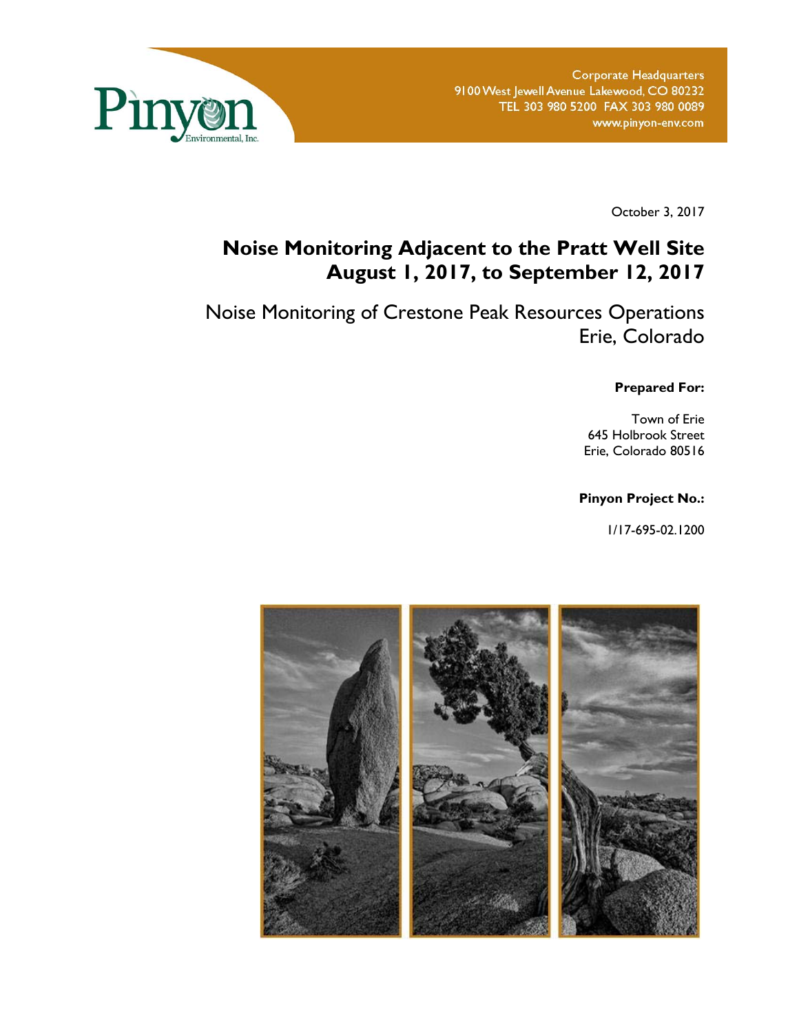

October 3, 2017

## **Noise Monitoring Adjacent to the Pratt Well Site August 1, 2017, to September 12, 2017**

Noise Monitoring of Crestone Peak Resources Operations Erie, Colorado

**Prepared For:** 

Town of Erie 645 Holbrook Street Erie, Colorado 80516

#### **Pinyon Project No.:**

1/17-695-02.1200

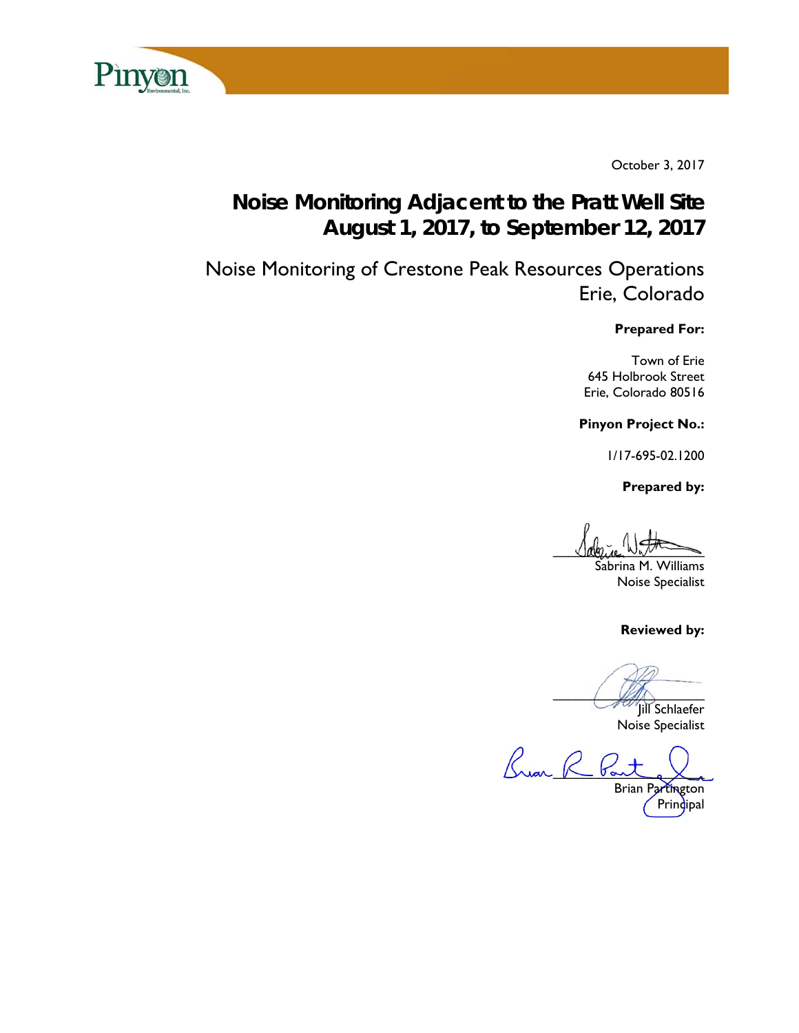

October 3, 2017

# **Noise Monitoring Adjacent to the Pratt Well Site August 1, 2017, to September 12, 2017**

Noise Monitoring of Crestone Peak Resources Operations Erie, Colorado

#### **Prepared For:**

Town of Erie 645 Holbrook Street Erie, Colorado 80516

**Pinyon Project No.:** 

1/17-695-02.1200

 **Prepared by:** 

 $U$ abrice  $W_{\alpha}$ 

Sabrina M. Williams Noise Specialist

**Reviewed by:** 

 $\overline{\mathcal{L}}$ 

Jill Schlaefer Noise Specialist

Bran R 6

Brian Partington Prindipal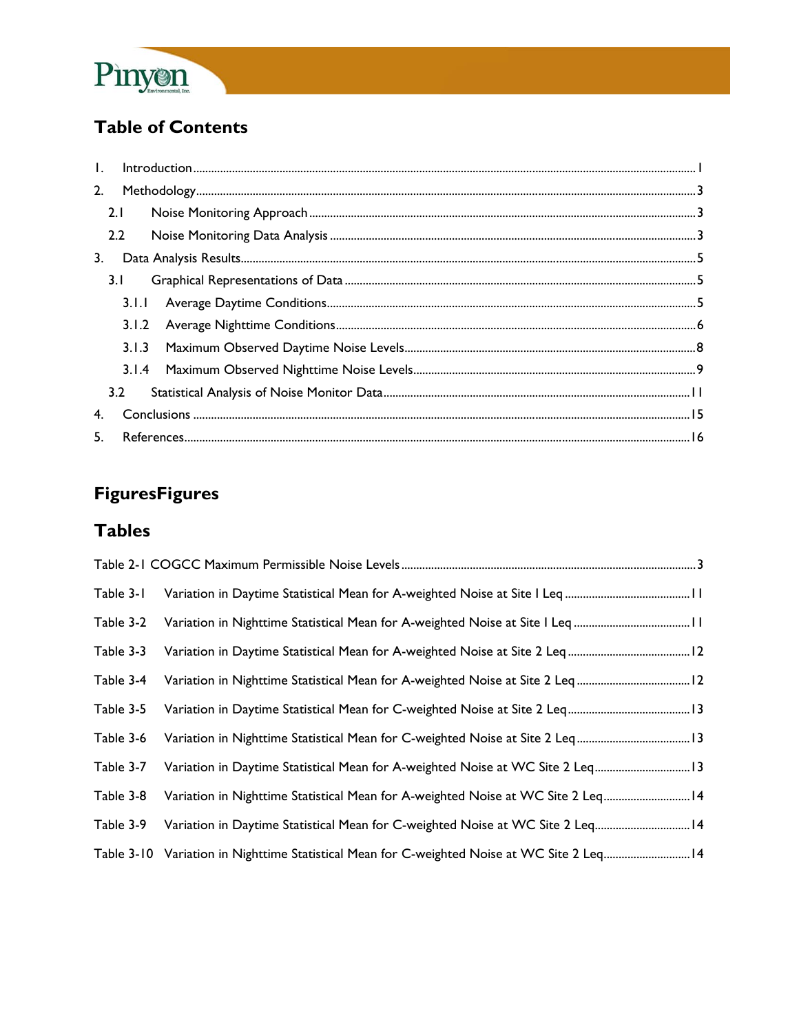

## **Table of Contents**

| 2. |       |  |
|----|-------|--|
|    | 2.1   |  |
|    | 2.2   |  |
| 3. |       |  |
|    | 3.1   |  |
|    | 3.1.1 |  |
|    |       |  |
|    | 3.1.3 |  |
|    |       |  |
|    | 3.2   |  |
| 4. |       |  |
|    | 5.    |  |

# **FiguresFigures**

### **Tables**

| Table 3-1  |                                                                                  |  |
|------------|----------------------------------------------------------------------------------|--|
| Table 3-2  |                                                                                  |  |
| Table 3-3  |                                                                                  |  |
| Table 3-4  | Variation in Nighttime Statistical Mean for A-weighted Noise at Site 2 Leq 12    |  |
| Table 3-5  |                                                                                  |  |
| Table 3-6  | Variation in Nighttime Statistical Mean for C-weighted Noise at Site 2 Leq13     |  |
| Table 3-7  | Variation in Daytime Statistical Mean for A-weighted Noise at WC Site 2 Leq 13   |  |
| Table 3-8  | Variation in Nighttime Statistical Mean for A-weighted Noise at WC Site 2 Leq 14 |  |
| Table 3-9  | Variation in Daytime Statistical Mean for C-weighted Noise at WC Site 2 Leq 14   |  |
| Table 3-10 | Variation in Nighttime Statistical Mean for C-weighted Noise at WC Site 2 Leq 14 |  |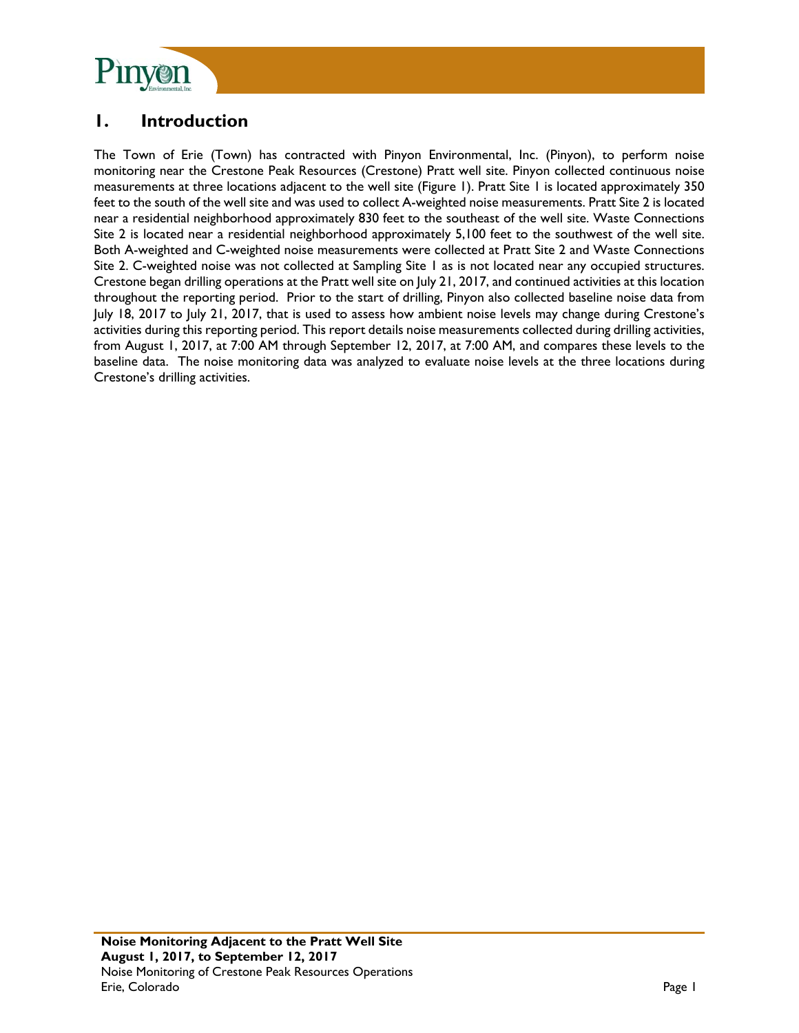

### **1. Introduction**

The Town of Erie (Town) has contracted with Pinyon Environmental, Inc. (Pinyon), to perform noise monitoring near the Crestone Peak Resources (Crestone) Pratt well site. Pinyon collected continuous noise measurements at three locations adjacent to the well site (Figure 1). Pratt Site 1 is located approximately 350 feet to the south of the well site and was used to collect A-weighted noise measurements. Pratt Site 2 is located near a residential neighborhood approximately 830 feet to the southeast of the well site. Waste Connections Site 2 is located near a residential neighborhood approximately 5,100 feet to the southwest of the well site. Both A-weighted and C-weighted noise measurements were collected at Pratt Site 2 and Waste Connections Site 2. C-weighted noise was not collected at Sampling Site 1 as is not located near any occupied structures. Crestone began drilling operations at the Pratt well site on July 21, 2017, and continued activities at this location throughout the reporting period. Prior to the start of drilling, Pinyon also collected baseline noise data from July 18, 2017 to July 21, 2017, that is used to assess how ambient noise levels may change during Crestone's activities during this reporting period. This report details noise measurements collected during drilling activities, from August 1, 2017, at 7:00 AM through September 12, 2017, at 7:00 AM, and compares these levels to the baseline data. The noise monitoring data was analyzed to evaluate noise levels at the three locations during Crestone's drilling activities.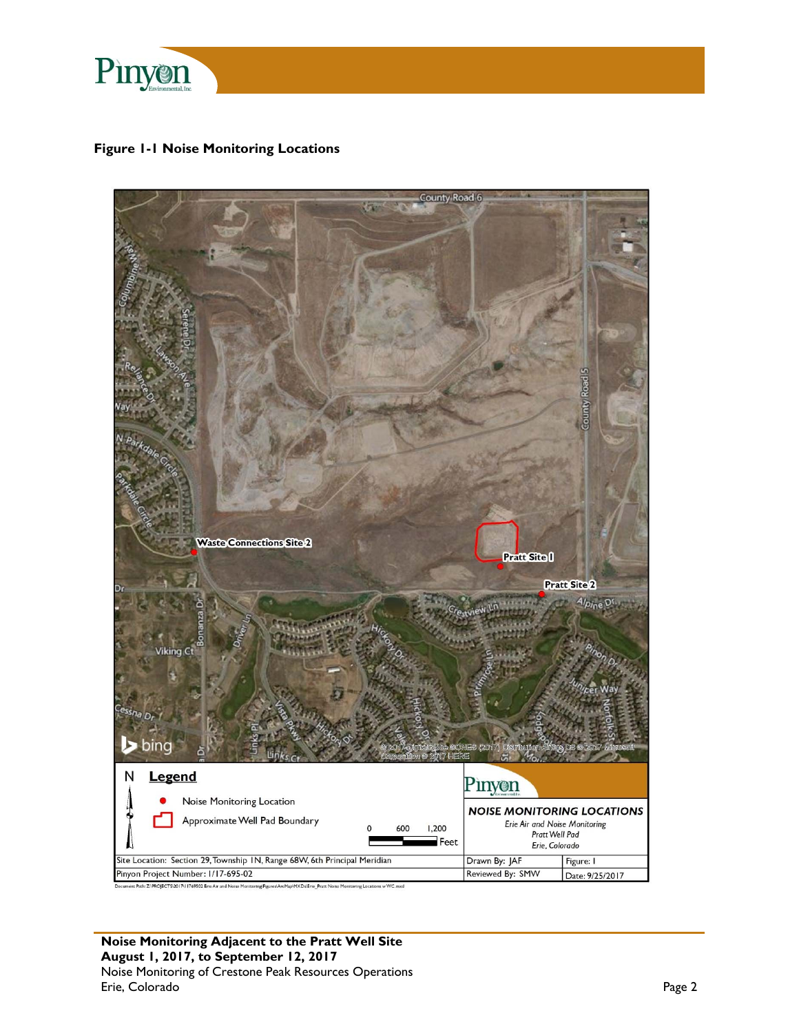

**Figure 1-1 Noise Monitoring Locations** 

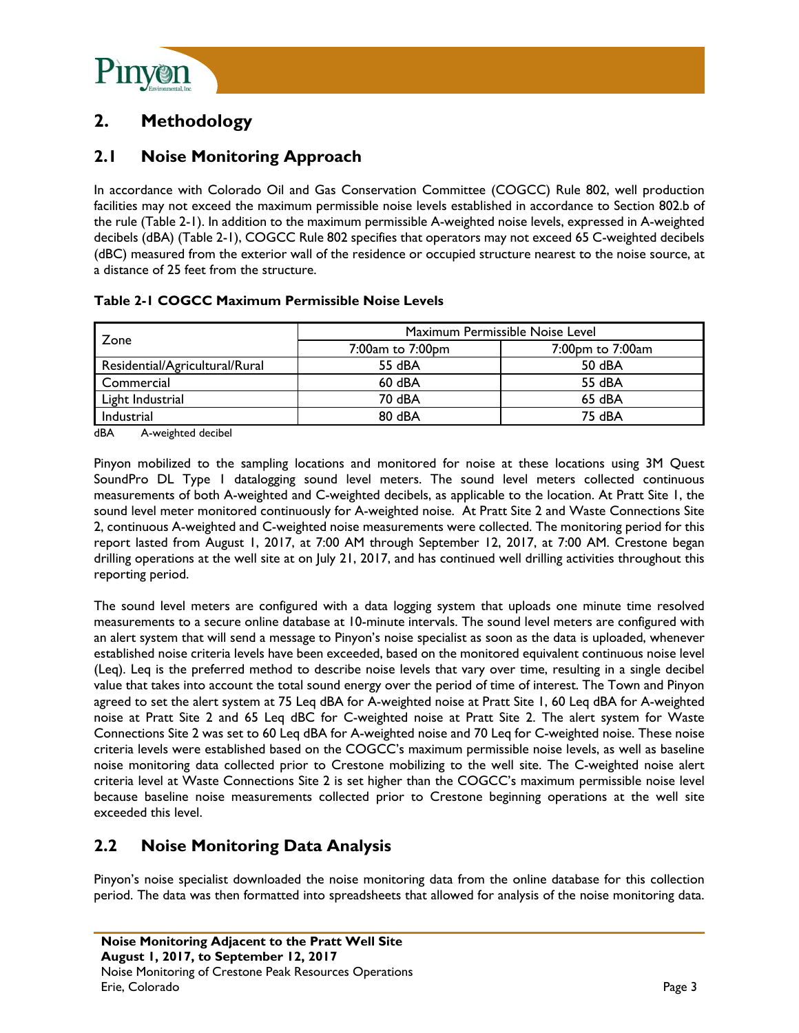

### **2. Methodology**

### **2.1 Noise Monitoring Approach**

In accordance with Colorado Oil and Gas Conservation Committee (COGCC) Rule 802, well production facilities may not exceed the maximum permissible noise levels established in accordance to Section 802.b of the rule (Table 2-1). In addition to the maximum permissible A-weighted noise levels, expressed in A-weighted decibels (dBA) (Table 2-1), COGCC Rule 802 specifies that operators may not exceed 65 C-weighted decibels (dBC) measured from the exterior wall of the residence or occupied structure nearest to the noise source, at a distance of 25 feet from the structure.

#### **Table 2-1 COGCC Maximum Permissible Noise Levels**

|                                | Maximum Permissible Noise Level |                  |  |  |
|--------------------------------|---------------------------------|------------------|--|--|
| Zone                           | 7:00am to 7:00pm                | 7:00pm to 7:00am |  |  |
| Residential/Agricultural/Rural | 55 dBA                          | 50 dBA           |  |  |
| Commercial                     | $60$ dBA                        | 55 dBA           |  |  |
| Light Industrial               | 70 dBA                          | 65 dBA           |  |  |
| Industrial                     | 80 dBA                          | 75 dBA           |  |  |

dBA A-weighted decibel

Pinyon mobilized to the sampling locations and monitored for noise at these locations using 3M Quest SoundPro DL Type 1 datalogging sound level meters. The sound level meters collected continuous measurements of both A-weighted and C-weighted decibels, as applicable to the location. At Pratt Site 1, the sound level meter monitored continuously for A-weighted noise. At Pratt Site 2 and Waste Connections Site 2, continuous A-weighted and C-weighted noise measurements were collected. The monitoring period for this report lasted from August 1, 2017, at 7:00 AM through September 12, 2017, at 7:00 AM. Crestone began drilling operations at the well site at on July 21, 2017, and has continued well drilling activities throughout this reporting period.

The sound level meters are configured with a data logging system that uploads one minute time resolved measurements to a secure online database at 10-minute intervals. The sound level meters are configured with an alert system that will send a message to Pinyon's noise specialist as soon as the data is uploaded, whenever established noise criteria levels have been exceeded, based on the monitored equivalent continuous noise level (Leq). Leq is the preferred method to describe noise levels that vary over time, resulting in a single decibel value that takes into account the total sound energy over the period of time of interest. The Town and Pinyon agreed to set the alert system at 75 Leq dBA for A-weighted noise at Pratt Site 1, 60 Leq dBA for A-weighted noise at Pratt Site 2 and 65 Leq dBC for C-weighted noise at Pratt Site 2. The alert system for Waste Connections Site 2 was set to 60 Leq dBA for A-weighted noise and 70 Leq for C-weighted noise. These noise criteria levels were established based on the COGCC's maximum permissible noise levels, as well as baseline noise monitoring data collected prior to Crestone mobilizing to the well site. The C-weighted noise alert criteria level at Waste Connections Site 2 is set higher than the COGCC's maximum permissible noise level because baseline noise measurements collected prior to Crestone beginning operations at the well site exceeded this level.

### **2.2 Noise Monitoring Data Analysis**

Pinyon's noise specialist downloaded the noise monitoring data from the online database for this collection period. The data was then formatted into spreadsheets that allowed for analysis of the noise monitoring data.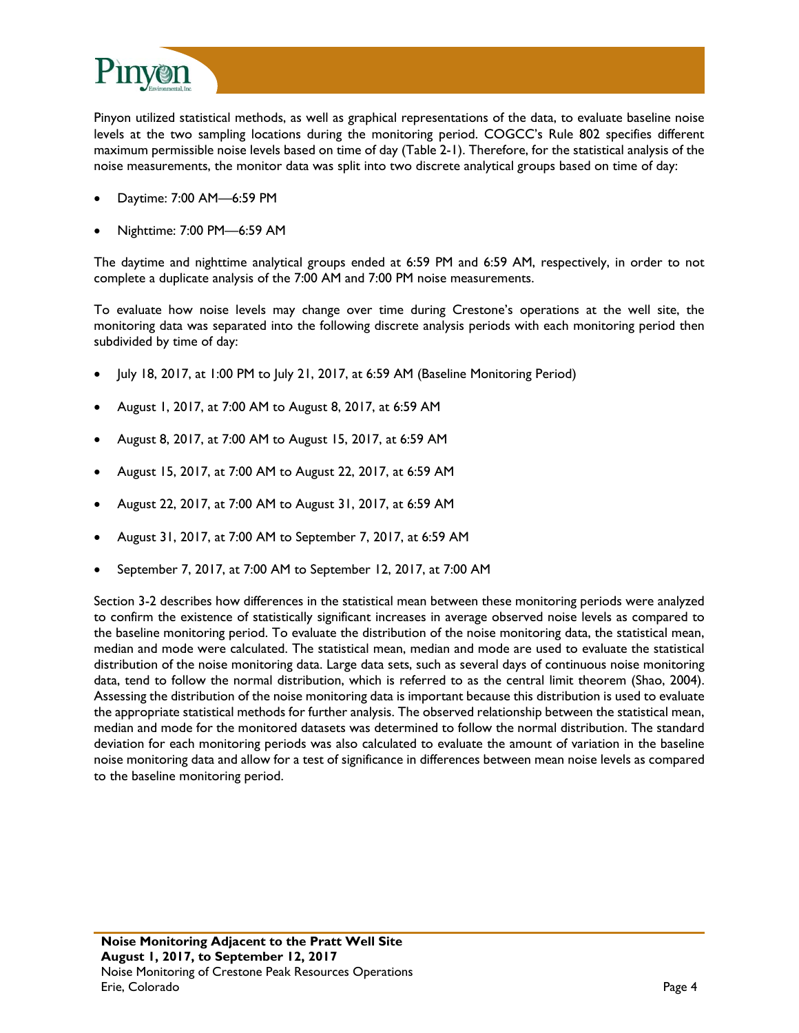

Pinyon utilized statistical methods, as well as graphical representations of the data, to evaluate baseline noise levels at the two sampling locations during the monitoring period. COGCC's Rule 802 specifies different maximum permissible noise levels based on time of day (Table 2-1). Therefore, for the statistical analysis of the noise measurements, the monitor data was split into two discrete analytical groups based on time of day:

- Daytime: 7:00 AM—6:59 PM
- Nighttime: 7:00 PM—6:59 AM

The daytime and nighttime analytical groups ended at 6:59 PM and 6:59 AM, respectively, in order to not complete a duplicate analysis of the 7:00 AM and 7:00 PM noise measurements.

To evaluate how noise levels may change over time during Crestone's operations at the well site, the monitoring data was separated into the following discrete analysis periods with each monitoring period then subdivided by time of day:

- July 18, 2017, at 1:00 PM to July 21, 2017, at 6:59 AM (Baseline Monitoring Period)
- August 1, 2017, at 7:00 AM to August 8, 2017, at 6:59 AM
- August 8, 2017, at 7:00 AM to August 15, 2017, at 6:59 AM
- August 15, 2017, at 7:00 AM to August 22, 2017, at 6:59 AM
- August 22, 2017, at 7:00 AM to August 31, 2017, at 6:59 AM
- August 31, 2017, at 7:00 AM to September 7, 2017, at 6:59 AM
- September 7, 2017, at 7:00 AM to September 12, 2017, at 7:00 AM

Section 3-2 describes how differences in the statistical mean between these monitoring periods were analyzed to confirm the existence of statistically significant increases in average observed noise levels as compared to the baseline monitoring period. To evaluate the distribution of the noise monitoring data, the statistical mean, median and mode were calculated. The statistical mean, median and mode are used to evaluate the statistical distribution of the noise monitoring data. Large data sets, such as several days of continuous noise monitoring data, tend to follow the normal distribution, which is referred to as the central limit theorem (Shao, 2004). Assessing the distribution of the noise monitoring data is important because this distribution is used to evaluate the appropriate statistical methods for further analysis. The observed relationship between the statistical mean, median and mode for the monitored datasets was determined to follow the normal distribution. The standard deviation for each monitoring periods was also calculated to evaluate the amount of variation in the baseline noise monitoring data and allow for a test of significance in differences between mean noise levels as compared to the baseline monitoring period.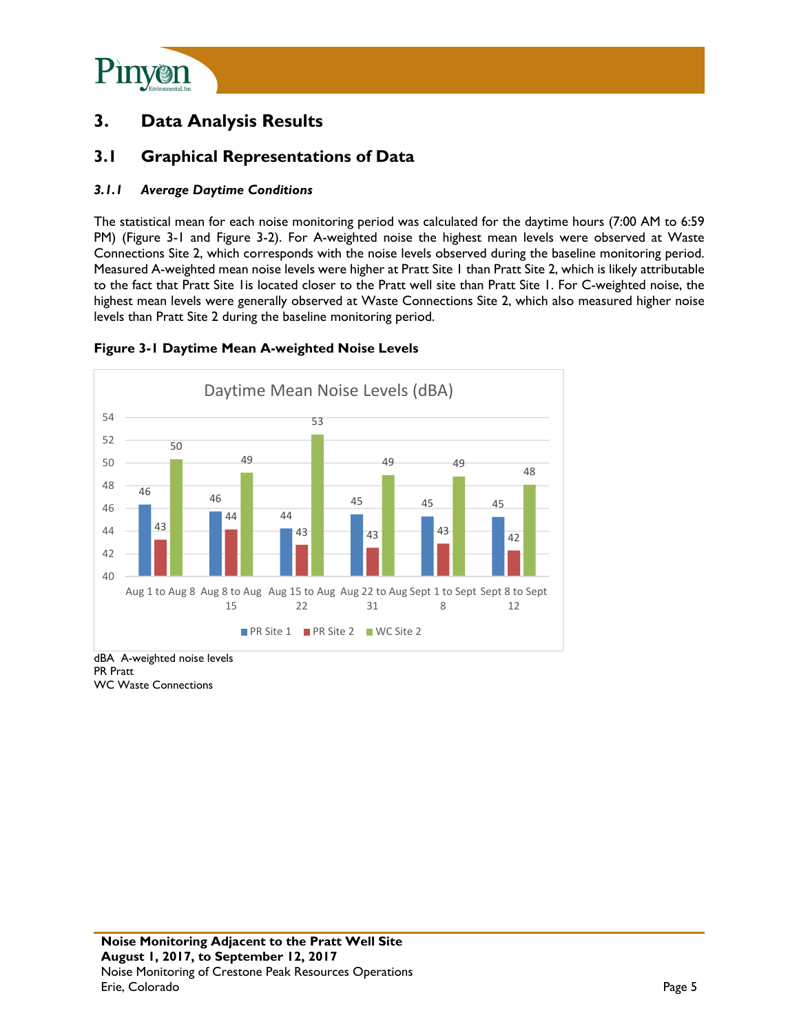

### **3. Data Analysis Results**

### **3.1 Graphical Representations of Data**

#### *3.1.1 Average Daytime Conditions*

The statistical mean for each noise monitoring period was calculated for the daytime hours (7:00 AM to 6:59 PM) (Figure 3-1 and Figure 3-2). For A-weighted noise the highest mean levels were observed at Waste Connections Site 2, which corresponds with the noise levels observed during the baseline monitoring period. Measured A-weighted mean noise levels were higher at Pratt Site 1 than Pratt Site 2, which is likely attributable to the fact that Pratt Site 1is located closer to the Pratt well site than Pratt Site 1. For C-weighted noise, the highest mean levels were generally observed at Waste Connections Site 2, which also measured higher noise levels than Pratt Site 2 during the baseline monitoring period.



#### **Figure 3-1 Daytime Mean A-weighted Noise Levels**

dBA A-weighted noise levels PR Pratt WC Waste Connections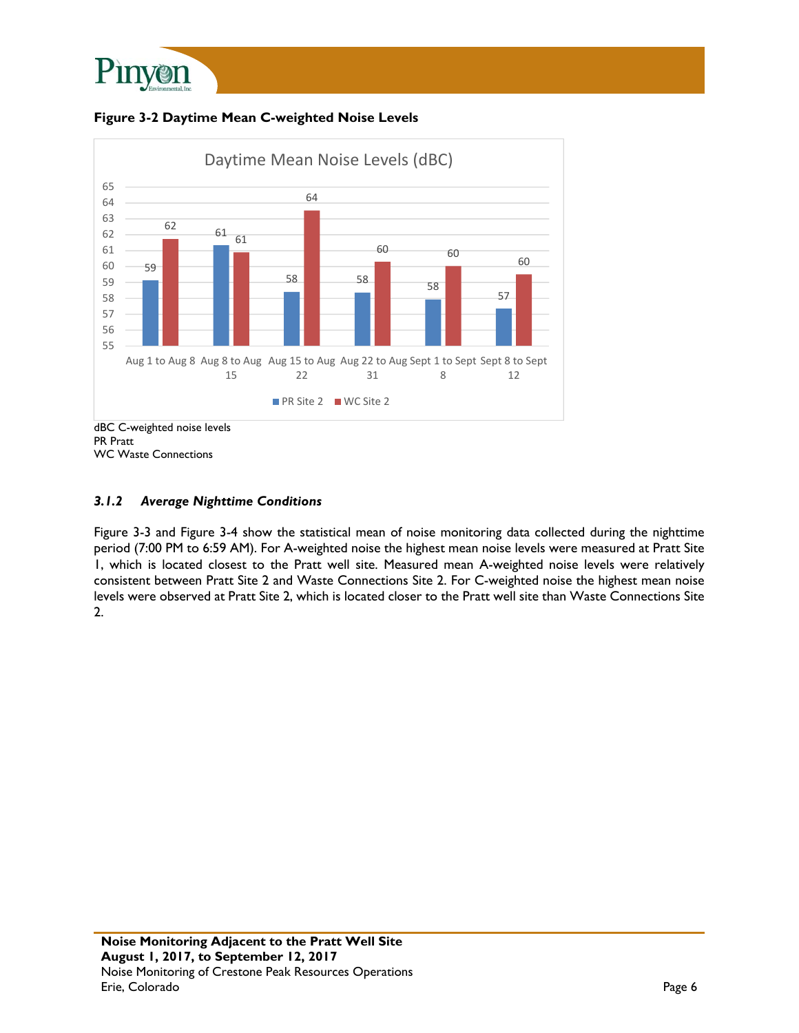





WC Waste Connections

#### *3.1.2 Average Nighttime Conditions*

Figure 3-3 and Figure 3-4 show the statistical mean of noise monitoring data collected during the nighttime period (7:00 PM to 6:59 AM). For A-weighted noise the highest mean noise levels were measured at Pratt Site 1, which is located closest to the Pratt well site. Measured mean A-weighted noise levels were relatively consistent between Pratt Site 2 and Waste Connections Site 2. For C-weighted noise the highest mean noise levels were observed at Pratt Site 2, which is located closer to the Pratt well site than Waste Connections Site 2.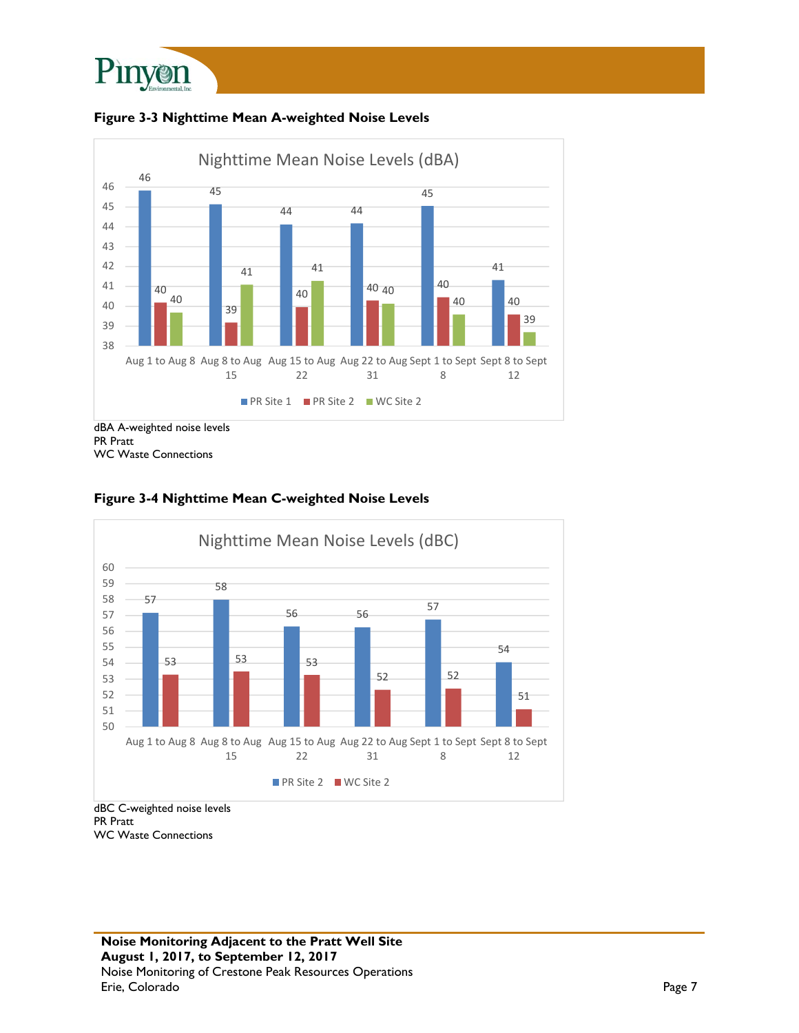





WC Waste Connections



#### **Figure 3-4 Nighttime Mean C-weighted Noise Levels**

PR Pratt WC Waste Connections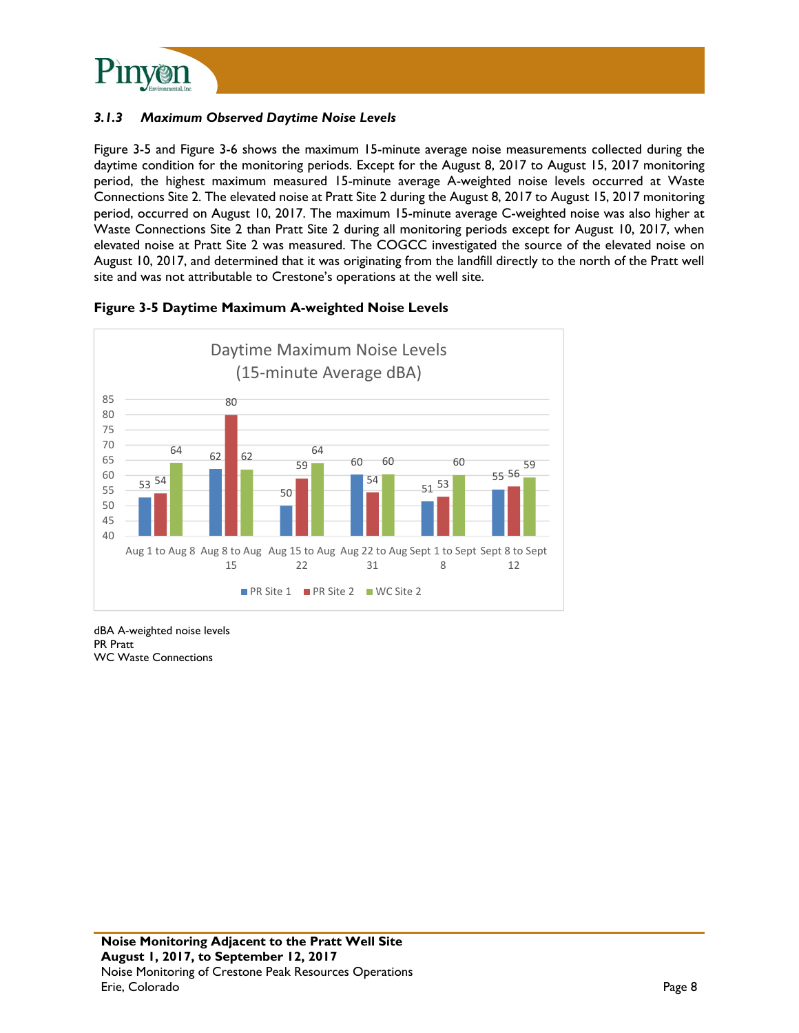

#### *3.1.3 Maximum Observed Daytime Noise Levels*

Figure 3-5 and Figure 3-6 shows the maximum 15-minute average noise measurements collected during the daytime condition for the monitoring periods. Except for the August 8, 2017 to August 15, 2017 monitoring period, the highest maximum measured 15-minute average A-weighted noise levels occurred at Waste Connections Site 2. The elevated noise at Pratt Site 2 during the August 8, 2017 to August 15, 2017 monitoring period, occurred on August 10, 2017. The maximum 15-minute average C-weighted noise was also higher at Waste Connections Site 2 than Pratt Site 2 during all monitoring periods except for August 10, 2017, when elevated noise at Pratt Site 2 was measured. The COGCC investigated the source of the elevated noise on August 10, 2017, and determined that it was originating from the landfill directly to the north of the Pratt well site and was not attributable to Crestone's operations at the well site.



#### **Figure 3-5 Daytime Maximum A-weighted Noise Levels**

dBA A-weighted noise levels PR Pratt WC Waste Connections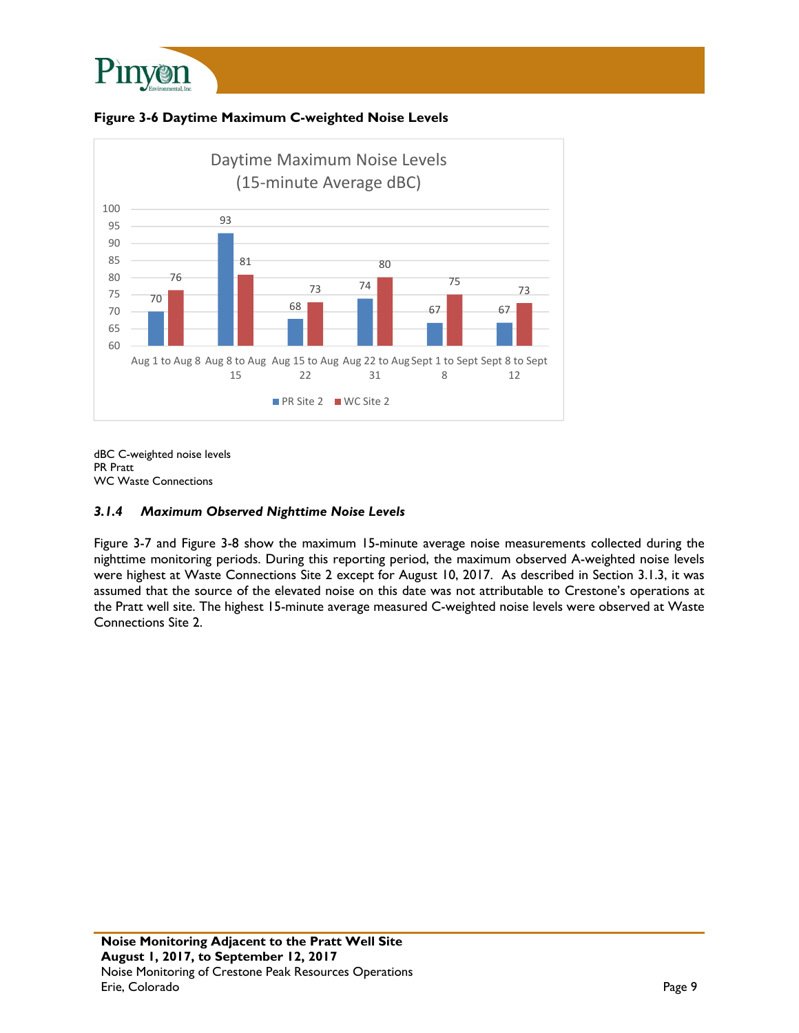





dBC C-weighted noise levels PR Pratt WC Waste Connections

#### *3.1.4 Maximum Observed Nighttime Noise Levels*

Figure 3-7 and Figure 3-8 show the maximum 15-minute average noise measurements collected during the nighttime monitoring periods. During this reporting period, the maximum observed A-weighted noise levels were highest at Waste Connections Site 2 except for August 10, 2017. As described in Section 3.1.3, it was assumed that the source of the elevated noise on this date was not attributable to Crestone's operations at the Pratt well site. The highest 15-minute average measured C-weighted noise levels were observed at Waste Connections Site 2.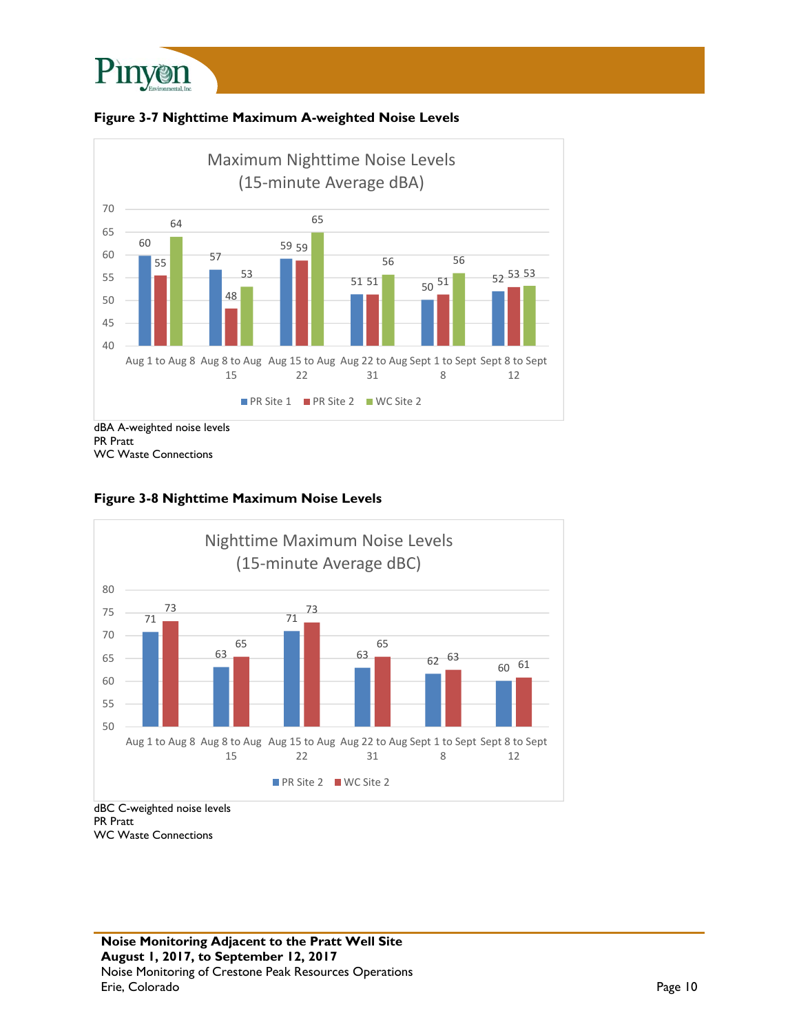





#### **Figure 3-8 Nighttime Maximum Noise Levels**



PR Pratt WC Waste Connections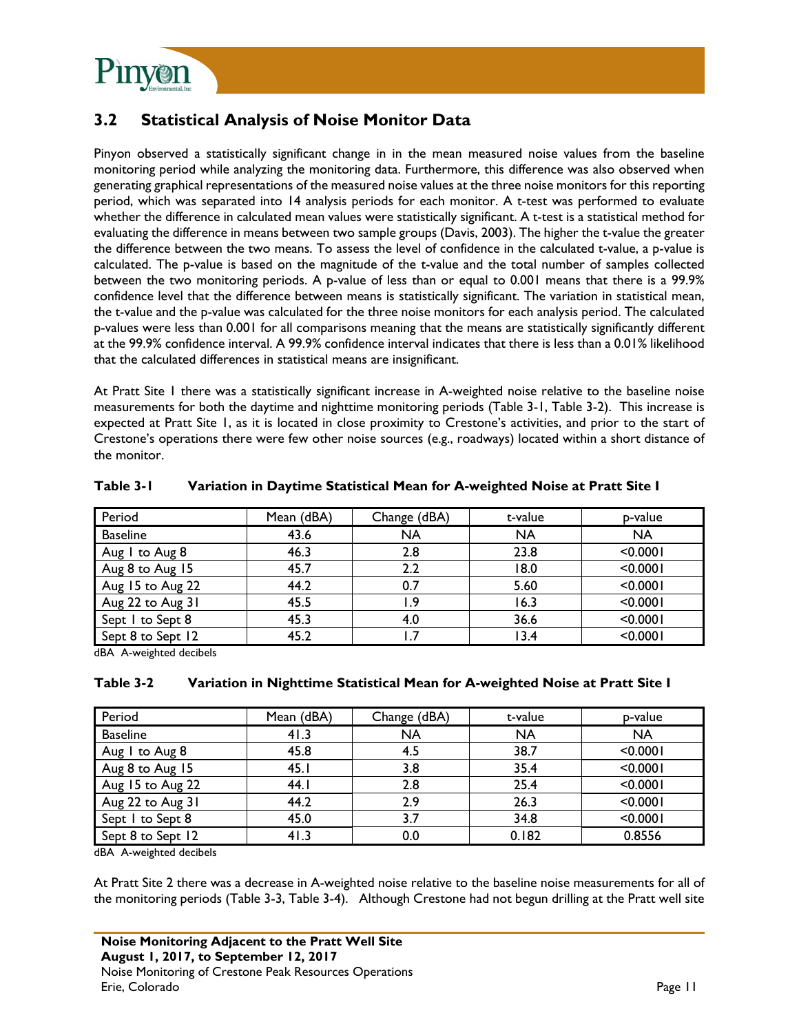

### **3.2 Statistical Analysis of Noise Monitor Data**

Pinyon observed a statistically significant change in in the mean measured noise values from the baseline monitoring period while analyzing the monitoring data. Furthermore, this difference was also observed when generating graphical representations of the measured noise values at the three noise monitors for this reporting period, which was separated into 14 analysis periods for each monitor. A t-test was performed to evaluate whether the difference in calculated mean values were statistically significant. A t-test is a statistical method for evaluating the difference in means between two sample groups (Davis, 2003). The higher the t-value the greater the difference between the two means. To assess the level of confidence in the calculated t-value, a p-value is calculated. The p-value is based on the magnitude of the t-value and the total number of samples collected between the two monitoring periods. A p-value of less than or equal to 0.001 means that there is a 99.9% confidence level that the difference between means is statistically significant. The variation in statistical mean, the t-value and the p-value was calculated for the three noise monitors for each analysis period. The calculated p-values were less than 0.001 for all comparisons meaning that the means are statistically significantly different at the 99.9% confidence interval. A 99.9% confidence interval indicates that there is less than a 0.01% likelihood that the calculated differences in statistical means are insignificant.

At Pratt Site 1 there was a statistically significant increase in A-weighted noise relative to the baseline noise measurements for both the daytime and nighttime monitoring periods (Table 3-1, Table 3-2). This increase is expected at Pratt Site 1, as it is located in close proximity to Crestone's activities, and prior to the start of Crestone's operations there were few other noise sources (e.g., roadways) located within a short distance of the monitor.

| Period            | Mean (dBA) | Change (dBA) | t-value   | p-value   |
|-------------------|------------|--------------|-----------|-----------|
| <b>Baseline</b>   | 43.6       | NA           | <b>NA</b> | <b>NA</b> |
| Aug I to Aug 8    | 46.3       | 2.8          | 23.8      | < 0.0001  |
| Aug 8 to Aug 15   | 45.7       | 2.2          | 18.0      | < 0.0001  |
| Aug 15 to Aug 22  | 44.2       | 0.7          | 5.60      | < 0.0001  |
| Aug 22 to Aug 31  | 45.5       | . 9          | 16.3      | < 0.0001  |
| Sept I to Sept 8  | 45.3       | 4.0          | 36.6      | < 0.0001  |
| Sept 8 to Sept 12 | 45.2       |              | 13.4      | < 0.0001  |

#### **Table 3-1 Variation in Daytime Statistical Mean for A-weighted Noise at Pratt Site I**

dBA A-weighted decibels

#### **Table 3-2 Variation in Nighttime Statistical Mean for A-weighted Noise at Pratt Site I**

| Period            | Mean (dBA) | Change (dBA) | t-value   | p-value   |
|-------------------|------------|--------------|-----------|-----------|
| <b>Baseline</b>   | 41.3       | <b>NA</b>    | <b>NA</b> | <b>NA</b> |
| Aug I to Aug 8    | 45.8       | 4.5          | 38.7      | < 0.0001  |
| Aug 8 to Aug 15   | 45.1       | 3.8          | 35.4      | < 0.0001  |
| Aug 15 to Aug 22  | 44. I      | 2.8          | 25.4      | < 0.0001  |
| Aug 22 to Aug 31  | 44.2       | 2.9          | 26.3      | < 0.0001  |
| Sept I to Sept 8  | 45.0       | 3.7          | 34.8      | < 0.0001  |
| Sept 8 to Sept 12 | 41.3       | 0.0          | 0.182     | 0.8556    |

dBA A-weighted decibels

At Pratt Site 2 there was a decrease in A-weighted noise relative to the baseline noise measurements for all of the monitoring periods (Table 3-3, Table 3-4). Although Crestone had not begun drilling at the Pratt well site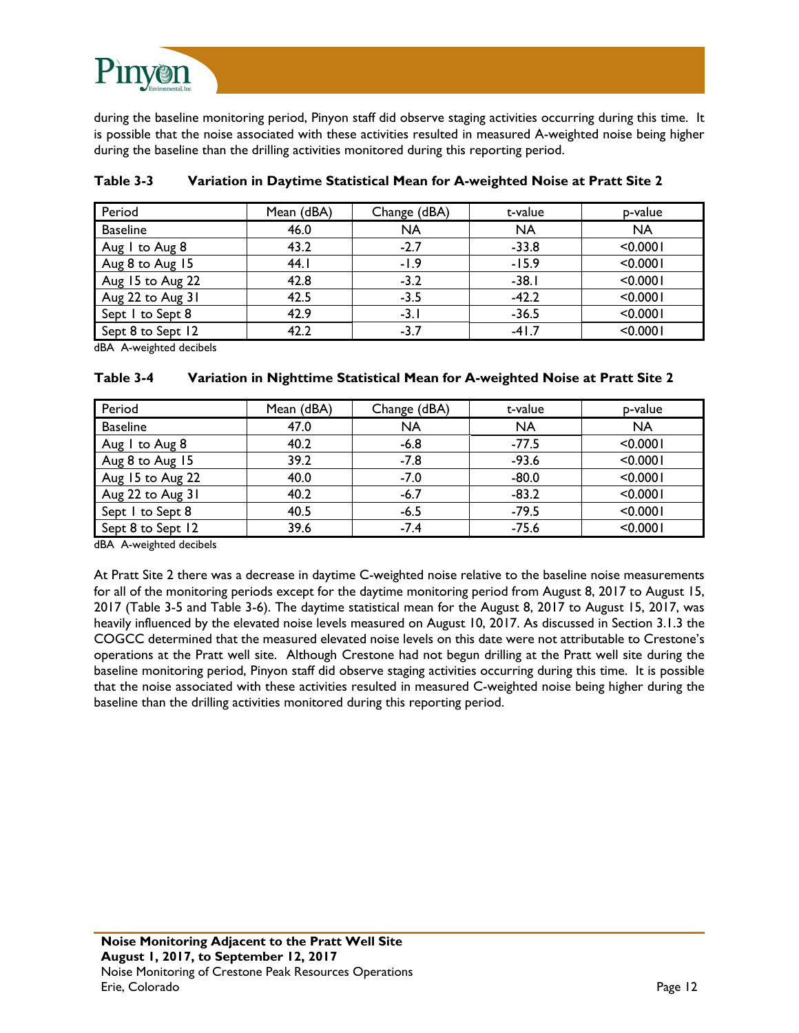

during the baseline monitoring period, Pinyon staff did observe staging activities occurring during this time. It is possible that the noise associated with these activities resulted in measured A-weighted noise being higher during the baseline than the drilling activities monitored during this reporting period.

| Period            | Mean (dBA) | Change (dBA) | t-value   | p-value   |
|-------------------|------------|--------------|-----------|-----------|
| <b>Baseline</b>   | 46.0       | <b>NA</b>    | <b>NA</b> | <b>NA</b> |
| Aug I to Aug 8    | 43.2       | $-2.7$       | $-33.8$   | < 0.0001  |
| Aug 8 to Aug 15   | 44.1       | $-1.9$       | $-15.9$   | < 0.0001  |
| Aug 15 to Aug 22  | 42.8       | $-3.2$       | $-38.1$   | < 0.0001  |
| Aug 22 to Aug 31  | 42.5       | $-3.5$       | $-42.2$   | < 0.0001  |
| Sept I to Sept 8  | 42.9       | $-3.1$       | $-36.5$   | < 0.0001  |
| Sept 8 to Sept 12 | 42.2       | $-3.7$       | $-41.7$   | < 0.0001  |

| Table 3-3<br>Variation in Daytime Statistical Mean for A-weighted Noise at Pratt Site 2 |
|-----------------------------------------------------------------------------------------|
|-----------------------------------------------------------------------------------------|

dBA A-weighted decibels

#### **Table 3-4 Variation in Nighttime Statistical Mean for A-weighted Noise at Pratt Site 2**

| Period            | Mean (dBA) | Change (dBA) | t-value   | p-value   |
|-------------------|------------|--------------|-----------|-----------|
| <b>Baseline</b>   | 47.0       | <b>NA</b>    | <b>NA</b> | <b>NA</b> |
| Aug I to Aug 8    | 40.2       | $-6.8$       | $-77.5$   | < 0.0001  |
| Aug 8 to Aug 15   | 39.2       | $-7.8$       | $-93.6$   | < 0.0001  |
| Aug 15 to Aug 22  | 40.0       | $-7.0$       | $-80.0$   | < 0.0001  |
| Aug 22 to Aug 31  | 40.2       | $-6.7$       | $-83.2$   | < 0.0001  |
| Sept I to Sept 8  | 40.5       | $-6.5$       | $-79.5$   | < 0.0001  |
| Sept 8 to Sept 12 | 39.6       | $-7.4$       | $-75.6$   | < 0.0001  |

dBA A-weighted decibels

At Pratt Site 2 there was a decrease in daytime C-weighted noise relative to the baseline noise measurements for all of the monitoring periods except for the daytime monitoring period from August 8, 2017 to August 15, 2017 (Table 3-5 and Table 3-6). The daytime statistical mean for the August 8, 2017 to August 15, 2017, was heavily influenced by the elevated noise levels measured on August 10, 2017. As discussed in Section 3.1.3 the COGCC determined that the measured elevated noise levels on this date were not attributable to Crestone's operations at the Pratt well site. Although Crestone had not begun drilling at the Pratt well site during the baseline monitoring period, Pinyon staff did observe staging activities occurring during this time. It is possible that the noise associated with these activities resulted in measured C-weighted noise being higher during the baseline than the drilling activities monitored during this reporting period.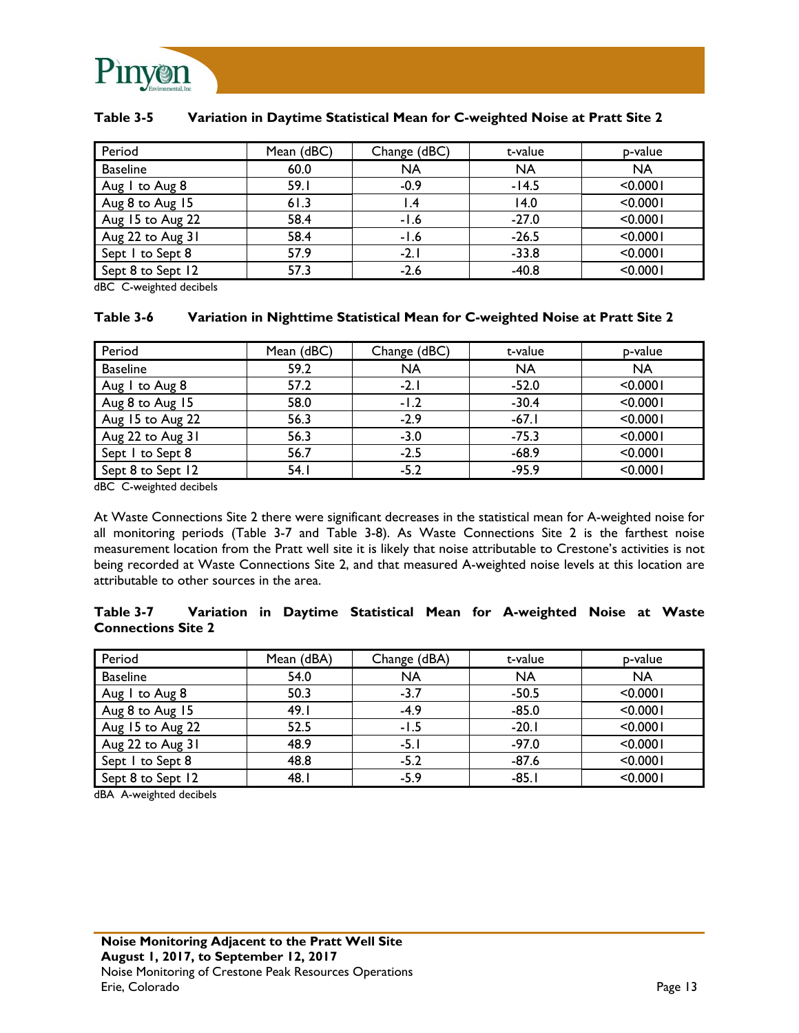

| Period            | Mean (dBC) | Change (dBC) | t-value   | p-value   |
|-------------------|------------|--------------|-----------|-----------|
| <b>Baseline</b>   | 60.0       | <b>NA</b>    | <b>NA</b> | <b>NA</b> |
| Aug I to Aug 8    | 59.1       | $-0.9$       | $-14.5$   | < 0.0001  |
| Aug 8 to Aug 15   | 61.3       | . 4،         | 14.0      | < 0.0001  |
| Aug 15 to Aug 22  | 58.4       | $-1.6$       | $-27.0$   | < 0.0001  |
| Aug 22 to Aug 31  | 58.4       | $-1.6$       | $-26.5$   | < 0.0001  |
| Sept I to Sept 8  | 57.9       | $-2.1$       | $-33.8$   | < 0.0001  |
| Sept 8 to Sept 12 | 57.3       | $-2.6$       | $-40.8$   | < 0.0001  |

#### **Table 3-5 Variation in Daytime Statistical Mean for C-weighted Noise at Pratt Site 2**

dBC C-weighted decibels

#### **Table 3-6 Variation in Nighttime Statistical Mean for C-weighted Noise at Pratt Site 2**

| Period            | Mean (dBC) | Change (dBC) | t-value   | p-value   |
|-------------------|------------|--------------|-----------|-----------|
| <b>Baseline</b>   | 59.2       | <b>NA</b>    | <b>NA</b> | <b>NA</b> |
| Aug I to Aug 8    | 57.2       | $-2.1$       | $-52.0$   | < 0.0001  |
| Aug 8 to Aug 15   | 58.0       | $-1.2$       | $-30.4$   | < 0.0001  |
| Aug 15 to Aug 22  | 56.3       | $-2.9$       | $-67.1$   | < 0.0001  |
| Aug 22 to Aug 31  | 56.3       | $-3.0$       | $-75.3$   | < 0.0001  |
| Sept I to Sept 8  | 56.7       | $-2.5$       | $-68.9$   | < 0.0001  |
| Sept 8 to Sept 12 | 54.1       | $-5.2$       | $-95.9$   | < 0.0001  |

dBC C-weighted decibels

At Waste Connections Site 2 there were significant decreases in the statistical mean for A-weighted noise for all monitoring periods (Table 3-7 and Table 3-8). As Waste Connections Site 2 is the farthest noise measurement location from the Pratt well site it is likely that noise attributable to Crestone's activities is not being recorded at Waste Connections Site 2, and that measured A-weighted noise levels at this location are attributable to other sources in the area.

#### **Table 3-7 Variation in Daytime Statistical Mean for A-weighted Noise at Waste Connections Site 2**

| Period            | Mean (dBA) | Change (dBA) | t-value   | p-value   |
|-------------------|------------|--------------|-----------|-----------|
| <b>Baseline</b>   | 54.0       | <b>NA</b>    | <b>NA</b> | <b>NA</b> |
| Aug I to Aug 8    | 50.3       | $-3.7$       | $-50.5$   | < 0.0001  |
| Aug 8 to Aug 15   | 49.I       | $-4.9$       | $-85.0$   | < 0.0001  |
| Aug 15 to Aug 22  | 52.5       | $-1.5$       | $-20.1$   | < 0.0001  |
| Aug 22 to Aug 31  | 48.9       | $-5.1$       | $-97.0$   | < 0.0001  |
| Sept I to Sept 8  | 48.8       | $-5.2$       | $-87.6$   | < 0.0001  |
| Sept 8 to Sept 12 | 48.I       | $-5.9$       | $-85.1$   | < 0.0001  |

dBA A-weighted decibels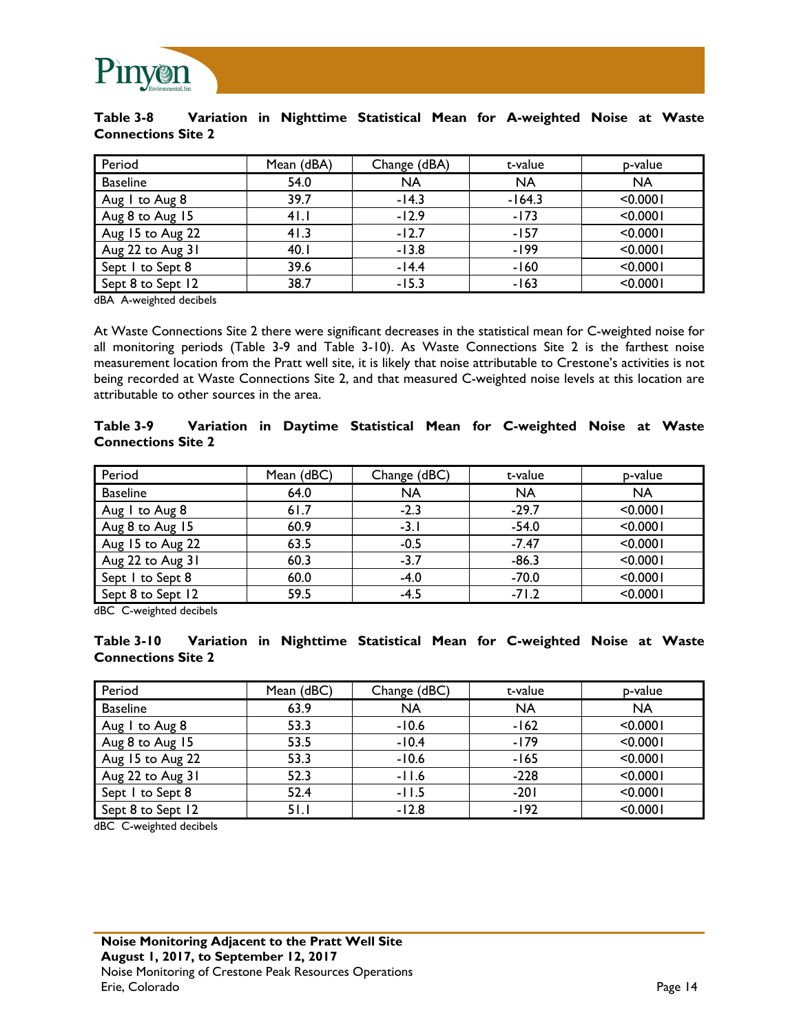

#### **Table 3-8 Variation in Nighttime Statistical Mean for A-weighted Noise at Waste Connections Site 2**

| Period            | Mean (dBA) | Change (dBA) | t-value   | p-value   |
|-------------------|------------|--------------|-----------|-----------|
| <b>Baseline</b>   | 54.0       | <b>NA</b>    | <b>NA</b> | <b>NA</b> |
| Aug I to Aug 8    | 39.7       | $-14.3$      | $-164.3$  | < 0.0001  |
| Aug 8 to Aug 15   | 41.1       | $-12.9$      | $-173$    | < 0.0001  |
| Aug 15 to Aug 22  | 41.3       | $-12.7$      | $-157$    | < 0.0001  |
| Aug 22 to Aug 31  | 40.1       | $-13.8$      | $-199$    | < 0.0001  |
| Sept 1 to Sept 8  | 39.6       | $-14.4$      | $-160$    | < 0.0001  |
| Sept 8 to Sept 12 | 38.7       | $-15.3$      | $-163$    | < 0.0001  |

dBA A-weighted decibels

At Waste Connections Site 2 there were significant decreases in the statistical mean for C-weighted noise for all monitoring periods (Table 3-9 and Table 3-10). As Waste Connections Site 2 is the farthest noise measurement location from the Pratt well site, it is likely that noise attributable to Crestone's activities is not being recorded at Waste Connections Site 2, and that measured C-weighted noise levels at this location are attributable to other sources in the area.

#### **Table 3-9 Variation in Daytime Statistical Mean for C-weighted Noise at Waste Connections Site 2**

| Period            | Mean (dBC) | Change (dBC) | t-value   | p-value   |
|-------------------|------------|--------------|-----------|-----------|
| <b>Baseline</b>   | 64.0       | <b>NA</b>    | <b>NA</b> | <b>NA</b> |
| Aug I to Aug 8    | 61.7       | $-2.3$       | $-29.7$   | < 0.0001  |
| Aug 8 to Aug 15   | 60.9       | $-3.1$       | $-54.0$   | < 0.0001  |
| Aug 15 to Aug 22  | 63.5       | $-0.5$       | $-7.47$   | < 0.0001  |
| Aug 22 to Aug 31  | 60.3       | $-3.7$       | $-86.3$   | < 0.0001  |
| Sept I to Sept 8  | 60.0       | $-4.0$       | $-70.0$   | < 0.0001  |
| Sept 8 to Sept 12 | 59.5       | $-4.5$       | $-71.2$   | < 0.0001  |

dBC C-weighted decibels

**Table 3-10 Variation in Nighttime Statistical Mean for C-weighted Noise at Waste Connections Site 2** 

| Period            | Mean (dBC) | Change (dBC) | t-value   | p-value   |
|-------------------|------------|--------------|-----------|-----------|
| <b>Baseline</b>   | 63.9       | <b>NA</b>    | <b>NA</b> | <b>NA</b> |
| Aug I to Aug 8    | 53.3       | $-10.6$      | $-162$    | < 0.0001  |
| Aug 8 to Aug 15   | 53.5       | $-10.4$      | $-179$    | < 0.0001  |
| Aug 15 to Aug 22  | 53.3       | $-10.6$      | $-165$    | < 0.0001  |
| Aug 22 to Aug 31  | 52.3       | $-11.6$      | $-228$    | < 0.0001  |
| Sept I to Sept 8  | 52.4       | $-11.5$      | $-201$    | < 0.0001  |
| Sept 8 to Sept 12 | 51.1       | $-12.8$      | $-192$    | < 0.0001  |

dBC C-weighted decibels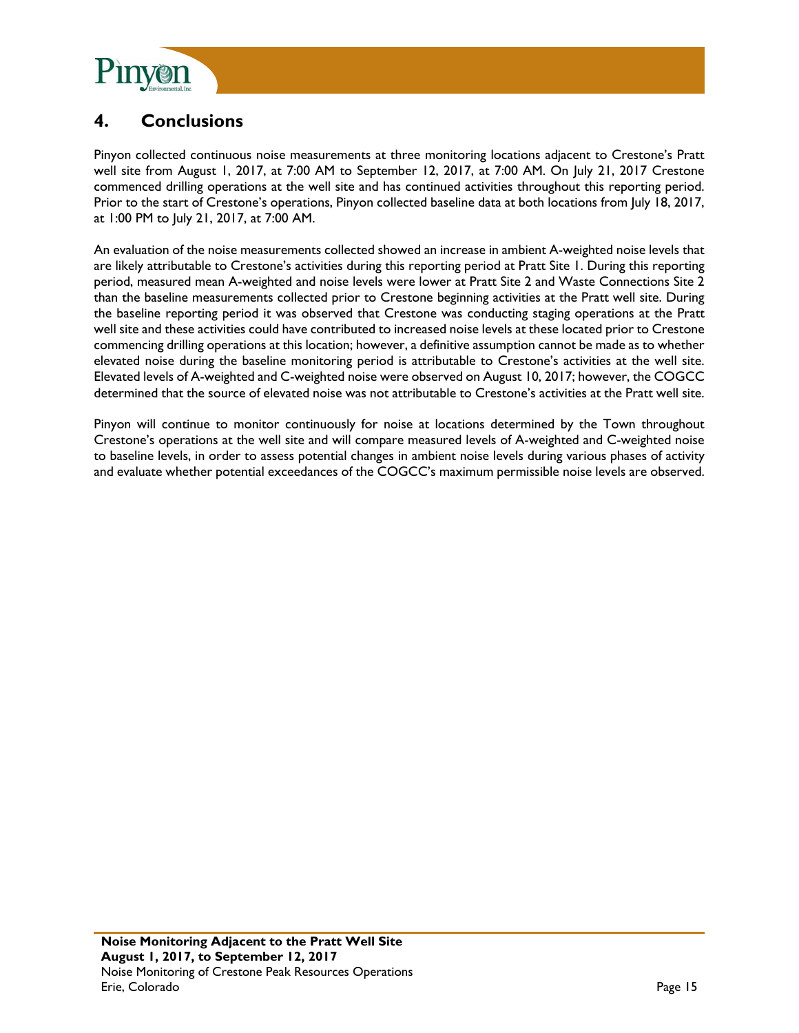

### **4. Conclusions**

Pinyon collected continuous noise measurements at three monitoring locations adjacent to Crestone's Pratt well site from August 1, 2017, at 7:00 AM to September 12, 2017, at 7:00 AM. On July 21, 2017 Crestone commenced drilling operations at the well site and has continued activities throughout this reporting period. Prior to the start of Crestone's operations, Pinyon collected baseline data at both locations from July 18, 2017, at 1:00 PM to July 21, 2017, at 7:00 AM.

An evaluation of the noise measurements collected showed an increase in ambient A-weighted noise levels that are likely attributable to Crestone's activities during this reporting period at Pratt Site 1. During this reporting period, measured mean A-weighted and noise levels were lower at Pratt Site 2 and Waste Connections Site 2 than the baseline measurements collected prior to Crestone beginning activities at the Pratt well site. During the baseline reporting period it was observed that Crestone was conducting staging operations at the Pratt well site and these activities could have contributed to increased noise levels at these located prior to Crestone commencing drilling operations at this location; however, a definitive assumption cannot be made as to whether elevated noise during the baseline monitoring period is attributable to Crestone's activities at the well site. Elevated levels of A-weighted and C-weighted noise were observed on August 10, 2017; however, the COGCC determined that the source of elevated noise was not attributable to Crestone's activities at the Pratt well site.

Pinyon will continue to monitor continuously for noise at locations determined by the Town throughout Crestone's operations at the well site and will compare measured levels of A-weighted and C-weighted noise to baseline levels, in order to assess potential changes in ambient noise levels during various phases of activity and evaluate whether potential exceedances of the COGCC's maximum permissible noise levels are observed.